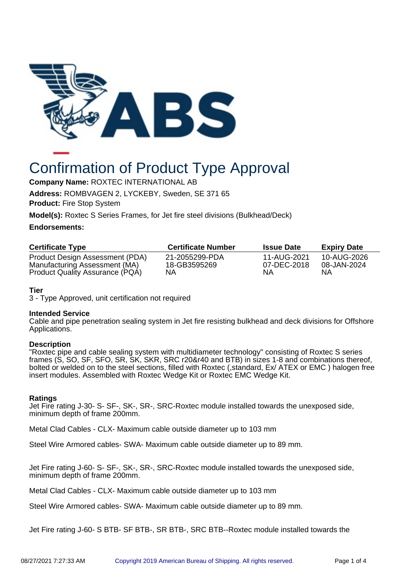

# Confirmation of Product Type Approval

**Company Name:** ROXTEC INTERNATIONAL AB

**Address:** ROMBVAGEN 2, LYCKEBY, Sweden, SE 371 65

**Product:** Fire Stop System

**Model(s):** Roxtec S Series Frames, for Jet fire steel divisions (Bulkhead/Deck)

## **Endorsements:**

| <b>Certificate Number</b>      | <b>Issue Date</b>          | <b>Expiry Date</b>               |
|--------------------------------|----------------------------|----------------------------------|
| 21-2055299-PDA<br>18-GB3595269 | 11-AUG-2021<br>07-DEC-2018 | 10-AUG-2026<br>08-JAN-2024<br>ΝA |
|                                | NΑ                         | NΑ                               |

# **Tier**

3 - Type Approved, unit certification not required

#### **Intended Service**

Cable and pipe penetration sealing system in Jet fire resisting bulkhead and deck divisions for Offshore Applications.

#### **Description**

"Roxtec pipe and cable sealing system with multidiameter technology" consisting of Roxtec S series frames (S, SO, SF, SFO, SR, SK, SKR, SRC r20&r40 and BTB) in sizes 1-8 and combinations thereof, bolted or welded on to the steel sections, filled with Roxtec (,standard, Ex/ ATEX or EMC ) halogen free insert modules. Assembled with Roxtec Wedge Kit or Roxtec EMC Wedge Kit.

#### **Ratings**

Jet Fire rating J-30- S- SF-, SK-, SR-, SRC-Roxtec module installed towards the unexposed side, minimum depth of frame 200mm.

Metal Clad Cables - CLX- Maximum cable outside diameter up to 103 mm

Steel Wire Armored cables- SWA- Maximum cable outside diameter up to 89 mm.

Jet Fire rating J-60- S- SF-, SK-, SR-, SRC-Roxtec module installed towards the unexposed side, minimum depth of frame 200mm.

Metal Clad Cables - CLX- Maximum cable outside diameter up to 103 mm

Steel Wire Armored cables- SWA- Maximum cable outside diameter up to 89 mm.

Jet Fire rating J-60- S BTB- SF BTB-, SR BTB-, SRC BTB--Roxtec module installed towards the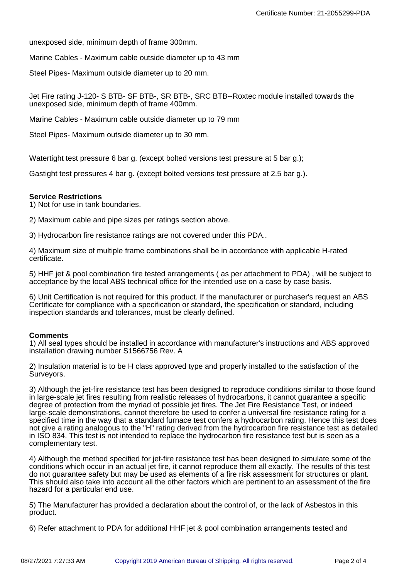unexposed side, minimum depth of frame 300mm.

Marine Cables - Maximum cable outside diameter up to 43 mm

Steel Pipes- Maximum outside diameter up to 20 mm.

Jet Fire rating J-120- S BTB- SF BTB-, SR BTB-, SRC BTB--Roxtec module installed towards the unexposed side, minimum depth of frame 400mm.

Marine Cables - Maximum cable outside diameter up to 79 mm

Steel Pipes- Maximum outside diameter up to 30 mm.

Watertight test pressure 6 bar g. (except bolted versions test pressure at 5 bar g.);

Gastight test pressures 4 bar g. (except bolted versions test pressure at 2.5 bar g.).

## **Service Restrictions**

1) Not for use in tank boundaries.

2) Maximum cable and pipe sizes per ratings section above.

3) Hydrocarbon fire resistance ratings are not covered under this PDA..

4) Maximum size of multiple frame combinations shall be in accordance with applicable H-rated certificate.

5) HHF jet & pool combination fire tested arrangements ( as per attachment to PDA) , will be subject to acceptance by the local ABS technical office for the intended use on a case by case basis.

6) Unit Certification is not required for this product. If the manufacturer or purchaser's request an ABS Certificate for compliance with a specification or standard, the specification or standard, including inspection standards and tolerances, must be clearly defined.

#### **Comments**

1) All seal types should be installed in accordance with manufacturer's instructions and ABS approved installation drawing number S1566756 Rev. A

2) Insulation material is to be H class approved type and properly installed to the satisfaction of the Surveyors.

3) Although the jet-fire resistance test has been designed to reproduce conditions similar to those found in large-scale jet fires resulting from realistic releases of hydrocarbons, it cannot guarantee a specific degree of protection from the myriad of possible jet fires. The Jet Fire Resistance Test, or indeed large-scale demonstrations, cannot therefore be used to confer a universal fire resistance rating for a specified time in the way that a standard furnace test confers a hydrocarbon rating. Hence this test does not give a rating analogous to the "H" rating derived from the hydrocarbon fire resistance test as detailed in ISO 834. This test is not intended to replace the hydrocarbon fire resistance test but is seen as a complementary test.

4) Although the method specified for jet-fire resistance test has been designed to simulate some of the conditions which occur in an actual jet fire, it cannot reproduce them all exactly. The results of this test do not guarantee safety but may be used as elements of a fire risk assessment for structures or plant. This should also take into account all the other factors which are pertinent to an assessment of the fire hazard for a particular end use.

5) The Manufacturer has provided a declaration about the control of, or the lack of Asbestos in this product.

6) Refer attachment to PDA for additional HHF jet & pool combination arrangements tested and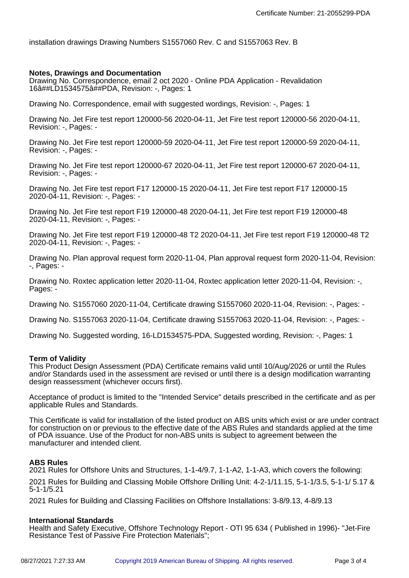installation drawings Drawing Numbers S1557060 Rev. C and S1557063 Rev. B

#### **Notes, Drawings and Documentation**

Drawing No. Correspondence, email 2 oct 2020 - Online PDA Application - Revalidation 16â##LD1534575â##PDA, Revision: -, Pages: 1

Drawing No. Correspondence, email with suggested wordings, Revision: -, Pages: 1

Drawing No. Jet Fire test report 120000-56 2020-04-11, Jet Fire test report 120000-56 2020-04-11, Revision: -, Pages: -

Drawing No. Jet Fire test report 120000-59 2020-04-11, Jet Fire test report 120000-59 2020-04-11, Revision: -, Pages: -

Drawing No. Jet Fire test report 120000-67 2020-04-11, Jet Fire test report 120000-67 2020-04-11, Revision: -, Pages: -

Drawing No. Jet Fire test report F17 120000-15 2020-04-11, Jet Fire test report F17 120000-15 2020-04-11, Revision: -, Pages: -

Drawing No. Jet Fire test report F19 120000-48 2020-04-11, Jet Fire test report F19 120000-48 2020-04-11, Revision: -, Pages: -

Drawing No. Jet Fire test report F19 120000-48 T2 2020-04-11, Jet Fire test report F19 120000-48 T2 2020-04-11, Revision: -, Pages: -

Drawing No. Plan approval request form 2020-11-04, Plan approval request form 2020-11-04, Revision: -, Pages: -

Drawing No. Roxtec application letter 2020-11-04, Roxtec application letter 2020-11-04, Revision: -, Pages: -

Drawing No. S1557060 2020-11-04, Certificate drawing S1557060 2020-11-04, Revision: -, Pages: -

Drawing No. S1557063 2020-11-04, Certificate drawing S1557063 2020-11-04, Revision: -, Pages: -

Drawing No. Suggested wording, 16-LD1534575-PDA, Suggested wording, Revision: -, Pages: 1

#### **Term of Validity**

This Product Design Assessment (PDA) Certificate remains valid until 10/Aug/2026 or until the Rules and/or Standards used in the assessment are revised or until there is a design modification warranting design reassessment (whichever occurs first).

Acceptance of product is limited to the "Intended Service" details prescribed in the certificate and as per applicable Rules and Standards.

This Certificate is valid for installation of the listed product on ABS units which exist or are under contract for construction on or previous to the effective date of the ABS Rules and standards applied at the time of PDA issuance. Use of the Product for non-ABS units is subject to agreement between the manufacturer and intended client.

#### **ABS Rules**

2021 Rules for Offshore Units and Structures, 1-1-4/9.7, 1-1-A2, 1-1-A3, which covers the following: 2021 Rules for Building and Classing Mobile Offshore Drilling Unit: 4-2-1/11.15, 5-1-1/3.5, 5-1-1/ 5.17 & 5-1-1/5.21

2021 Rules for Building and Classing Facilities on Offshore Installations: 3-8/9.13, 4-8/9.13

#### **International Standards**

Health and Safety Executive, Offshore Technology Report - OTI 95 634 ( Published in 1996)- "Jet-Fire Resistance Test of Passive Fire Protection Materials";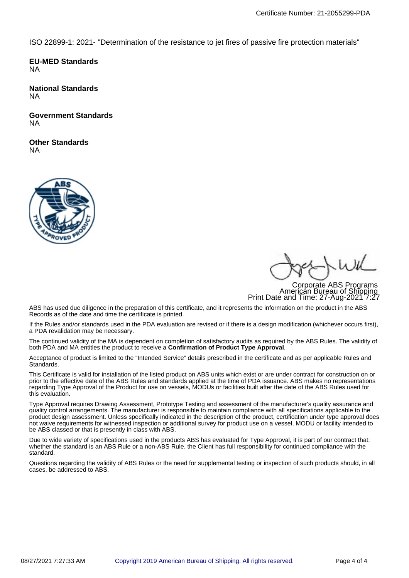ISO 22899-1: 2021- "Determination of the resistance to jet fires of passive fire protection materials"

**EU-MED Standards** NA

**National Standards** NA

**Government Standards** NA

**Other Standards** NA



Corporate ABS Programs American Bureau of Shipping Print Date and Time: 27-Aug-2021 7:27

ABS has used due diligence in the preparation of this certificate, and it represents the information on the product in the ABS Records as of the date and time the certificate is printed.

If the Rules and/or standards used in the PDA evaluation are revised or if there is a design modification (whichever occurs first), a PDA revalidation may be necessary.

The continued validity of the MA is dependent on completion of satisfactory audits as required by the ABS Rules. The validity of both PDA and MA entitles the product to receive a **Confirmation of Product Type Approval**.

Acceptance of product is limited to the "Intended Service" details prescribed in the certificate and as per applicable Rules and Standards.

This Certificate is valid for installation of the listed product on ABS units which exist or are under contract for construction on or prior to the effective date of the ABS Rules and standards applied at the time of PDA issuance. ABS makes no representations regarding Type Approval of the Product for use on vessels, MODUs or facilities built after the date of the ABS Rules used for this evaluation.

Type Approval requires Drawing Assessment, Prototype Testing and assessment of the manufacturer's quality assurance and quality control arrangements. The manufacturer is responsible to maintain compliance with all specifications applicable to the product design assessment. Unless specifically indicated in the description of the product, certification under type approval does not waive requirements for witnessed inspection or additional survey for product use on a vessel, MODU or facility intended to be ABS classed or that is presently in class with ABS.

Due to wide variety of specifications used in the products ABS has evaluated for Type Approval, it is part of our contract that; whether the standard is an ABS Rule or a non-ABS Rule, the Client has full responsibility for continued compliance with the standard.

Questions regarding the validity of ABS Rules or the need for supplemental testing or inspection of such products should, in all cases, be addressed to ABS.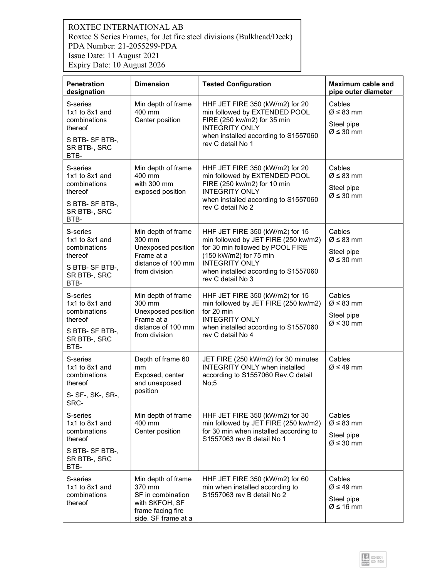# ROXTEC INTERNATIONAL AB Roxtec S Series Frames, for Jet fire steel divisions (Bulkhead/Deck) PDA Number: 21-2055299-PDA Issue Date: 11 August 2021 Expiry Date: 10 August 2026

| <b>Penetration</b><br>designation                                                                   | <b>Dimension</b>                                                                                                | <b>Tested Configuration</b>                                                                                                                                                                                                 | <b>Maximum cable and</b><br>pipe outer diameter                              |
|-----------------------------------------------------------------------------------------------------|-----------------------------------------------------------------------------------------------------------------|-----------------------------------------------------------------------------------------------------------------------------------------------------------------------------------------------------------------------------|------------------------------------------------------------------------------|
| S-series<br>1x1 to 8x1 and<br>combinations<br>thereof<br>S BTB-SF BTB-,<br>SR BTB-, SRC<br>BTB-     | Min depth of frame<br>400 mm<br>Center position                                                                 | HHF JET FIRE 350 (kW/m2) for 20<br>min followed by EXTENDED POOL<br>FIRE (250 kw/m2) for 35 min<br><b>INTEGRITY ONLY</b><br>when installed according to S1557060<br>rev C detail No 1                                       | Cables<br>$Ø ≤ 83$ mm<br>Steel pipe<br>$Ø ≤ 30$ mm                           |
| S-series<br>$1x1$ to $8x1$ and<br>combinations<br>thereof<br>S BTB-SF BTB-,<br>SR BTB-, SRC<br>BTB- | Min depth of frame<br>400 mm<br>with 300 mm<br>exposed position                                                 | HHF JET FIRE 350 (kW/m2) for 20<br>min followed by EXTENDED POOL<br>FIRE (250 kw/m2) for 10 min<br><b>INTEGRITY ONLY</b><br>when installed according to S1557060<br>rev C detail No 2                                       | Cables<br>$Ø ≤ 83$ mm<br>Steel pipe<br>$Ø ≤ 30$ mm                           |
| S-series<br>1x1 to 8x1 and<br>combinations<br>thereof<br>S BTB-SF BTB-,<br>SR BTB-, SRC<br>BTB-     | Min depth of frame<br>300 mm<br>Unexposed position<br>Frame at a<br>distance of 100 mm<br>from division         | HHF JET FIRE 350 (kW/m2) for 15<br>min followed by JET FIRE (250 kw/m2)<br>for 30 min followed by POOL FIRE<br>(150 kW/m2) for 75 min<br><b>INTEGRITY ONLY</b><br>when installed according to S1557060<br>rev C detail No 3 | Cables<br>$\varnothing$ ≤ 83 mm<br>Steel pipe<br>$Ø ≤ 30$ mm                 |
| S-series<br>1x1 to 8x1 and<br>combinations<br>thereof<br>S BTB-SF BTB-,<br>SR BTB-, SRC<br>BTB-     | Min depth of frame<br>300 mm<br>Unexposed position<br>Frame at a<br>distance of 100 mm<br>from division         | HHF JET FIRE 350 (kW/m2) for 15<br>min followed by JET FIRE (250 kw/m2)<br>for 20 min<br><b>INTEGRITY ONLY</b><br>when installed according to S1557060<br>rev C detail No 4                                                 | Cables<br>$\varnothing \leq 83$ mm<br>Steel pipe<br>$\varnothing \leq 30$ mm |
| S-series<br>1x1 to 8x1 and<br>combinations<br>thereof<br>S- SF-, SK-, SR-,<br>SRC-                  | Depth of frame 60<br>mm<br>Exposed, center<br>and unexposed<br>position                                         | JET FIRE (250 kW/m2) for 30 minutes<br><b>INTEGRITY ONLY when installed</b><br>according to S1557060 Rev.C detail<br>No;5                                                                                                   | Cables<br>$Ø ≤ 49$ mm                                                        |
| S-series<br>1x1 to 8x1 and<br>combinations<br>thereof<br>S BTB-SF BTB-,<br>SR BTB-, SRC<br>BTB-     | Min depth of frame<br>400 mm<br>Center position                                                                 | HHF JET FIRE 350 (kW/m2) for 30<br>min followed by JET FIRE (250 kw/m2)<br>for 30 min when installed according to<br>S1557063 rev B detail No 1                                                                             | Cables<br>$\varnothing \leq 83$ mm<br>Steel pipe<br>$Ø ≤ 30$ mm              |
| S-series<br>1x1 to 8x1 and<br>combinations<br>thereof                                               | Min depth of frame<br>370 mm<br>SF in combination<br>with SKFOH, SF<br>frame facing fire<br>side. SF frame at a | HHF JET FIRE 350 (kW/m2) for 60<br>min when installed according to<br>S1557063 rev B detail No 2                                                                                                                            | Cables<br>$Ø ≤ 49$ mm<br>Steel pipe<br>$\varnothing$ ≤ 16 mm                 |